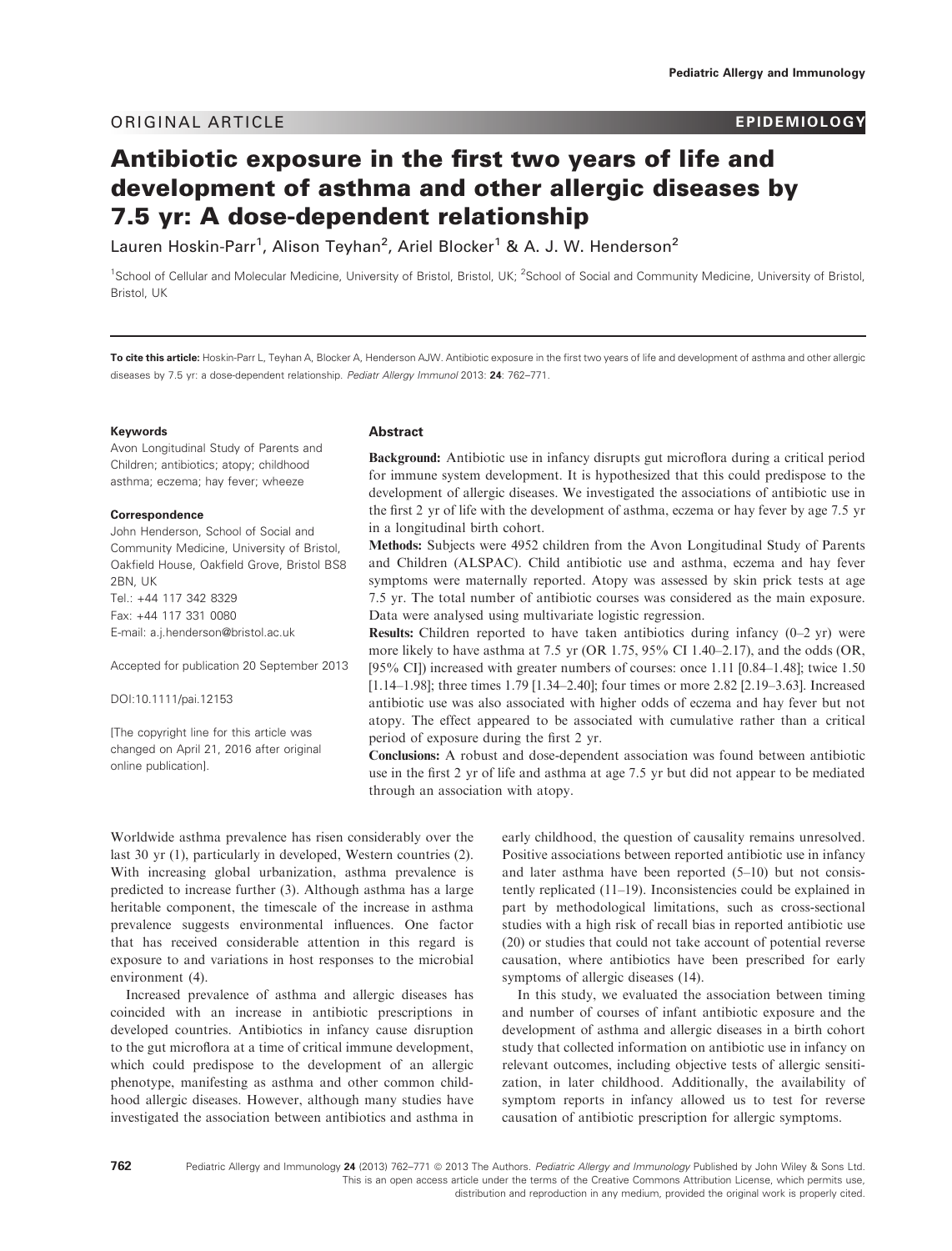# Antibiotic exposure in the first two years of life and development of asthma and other allergic diseases by 7.5 yr: A dose-dependent relationship

Lauren Hoskin-Parr<sup>1</sup>, Alison Teyhan<sup>2</sup>, Ariel Blocker<sup>1</sup> & A. J. W. Henderson<sup>2</sup>

<sup>1</sup>School of Cellular and Molecular Medicine, University of Bristol, Bristol, UK; <sup>2</sup>School of Social and Community Medicine, University of Bristol, Bristol, UK

To cite this article: Hoskin-Parr L, Teyhan A, Blocker A, Henderson AJW. Antibiotic exposure in the first two years of life and development of asthma and other allergic diseases by 7.5 yr: a dose-dependent relationship. Pediatr Allergy Immunol 2013: 24: 762-771.

#### Keywords

Avon Longitudinal Study of Parents and Children; antibiotics; atopy; childhood asthma; eczema; hay fever; wheeze

#### Correspondence

John Henderson, School of Social and Community Medicine, University of Bristol, Oakfield House, Oakfield Grove, Bristol BS8 2BN, UK  $Tel: +44 117 342 8329$ Fax: +44 117 331 0080 E-mail: a.j.henderson@bristol.ac.uk

Accepted for publication 20 September 2013

DOI:10.1111/pai.12153

[The copyright line for this article was changed on April 21, 2016 after original online publication].

### Abstract

Background: Antibiotic use in infancy disrupts gut microflora during a critical period for immune system development. It is hypothesized that this could predispose to the development of allergic diseases. We investigated the associations of antibiotic use in the first 2 yr of life with the development of asthma, eczema or hay fever by age 7.5 yr in a longitudinal birth cohort.

Methods: Subjects were 4952 children from the Avon Longitudinal Study of Parents and Children (ALSPAC). Child antibiotic use and asthma, eczema and hay fever symptoms were maternally reported. Atopy was assessed by skin prick tests at age 7.5 yr. The total number of antibiotic courses was considered as the main exposure. Data were analysed using multivariate logistic regression.

**Results:** Children reported to have taken antibiotics during infancy  $(0-2 \text{ yr})$  were more likely to have asthma at 7.5 yr (OR 1.75, 95% CI 1.40–2.17), and the odds (OR, [95% CI]) increased with greater numbers of courses: once 1.11 [0.84–1.48]; twice 1.50 [1.14–1.98]; three times 1.79 [1.34–2.40]; four times or more 2.82 [2.19–3.63]. Increased antibiotic use was also associated with higher odds of eczema and hay fever but not atopy. The effect appeared to be associated with cumulative rather than a critical period of exposure during the first 2 yr.

Conclusions: A robust and dose-dependent association was found between antibiotic use in the first 2 yr of life and asthma at age 7.5 yr but did not appear to be mediated through an association with atopy.

Worldwide asthma prevalence has risen considerably over the last 30 yr (1), particularly in developed, Western countries (2). With increasing global urbanization, asthma prevalence is predicted to increase further (3). Although asthma has a large heritable component, the timescale of the increase in asthma prevalence suggests environmental influences. One factor that has received considerable attention in this regard is exposure to and variations in host responses to the microbial environment (4).

Increased prevalence of asthma and allergic diseases has coincided with an increase in antibiotic prescriptions in developed countries. Antibiotics in infancy cause disruption to the gut microflora at a time of critical immune development, which could predispose to the development of an allergic phenotype, manifesting as asthma and other common childhood allergic diseases. However, although many studies have investigated the association between antibiotics and asthma in early childhood, the question of causality remains unresolved. Positive associations between reported antibiotic use in infancy and later asthma have been reported (5–10) but not consistently replicated (11–19). Inconsistencies could be explained in part by methodological limitations, such as cross-sectional studies with a high risk of recall bias in reported antibiotic use (20) or studies that could not take account of potential reverse causation, where antibiotics have been prescribed for early symptoms of allergic diseases (14).

In this study, we evaluated the association between timing and number of courses of infant antibiotic exposure and the development of asthma and allergic diseases in a birth cohort study that collected information on antibiotic use in infancy on relevant outcomes, including objective tests of allergic sensitization, in later childhood. Additionally, the availability of symptom reports in infancy allowed us to test for reverse causation of antibiotic prescription for allergic symptoms.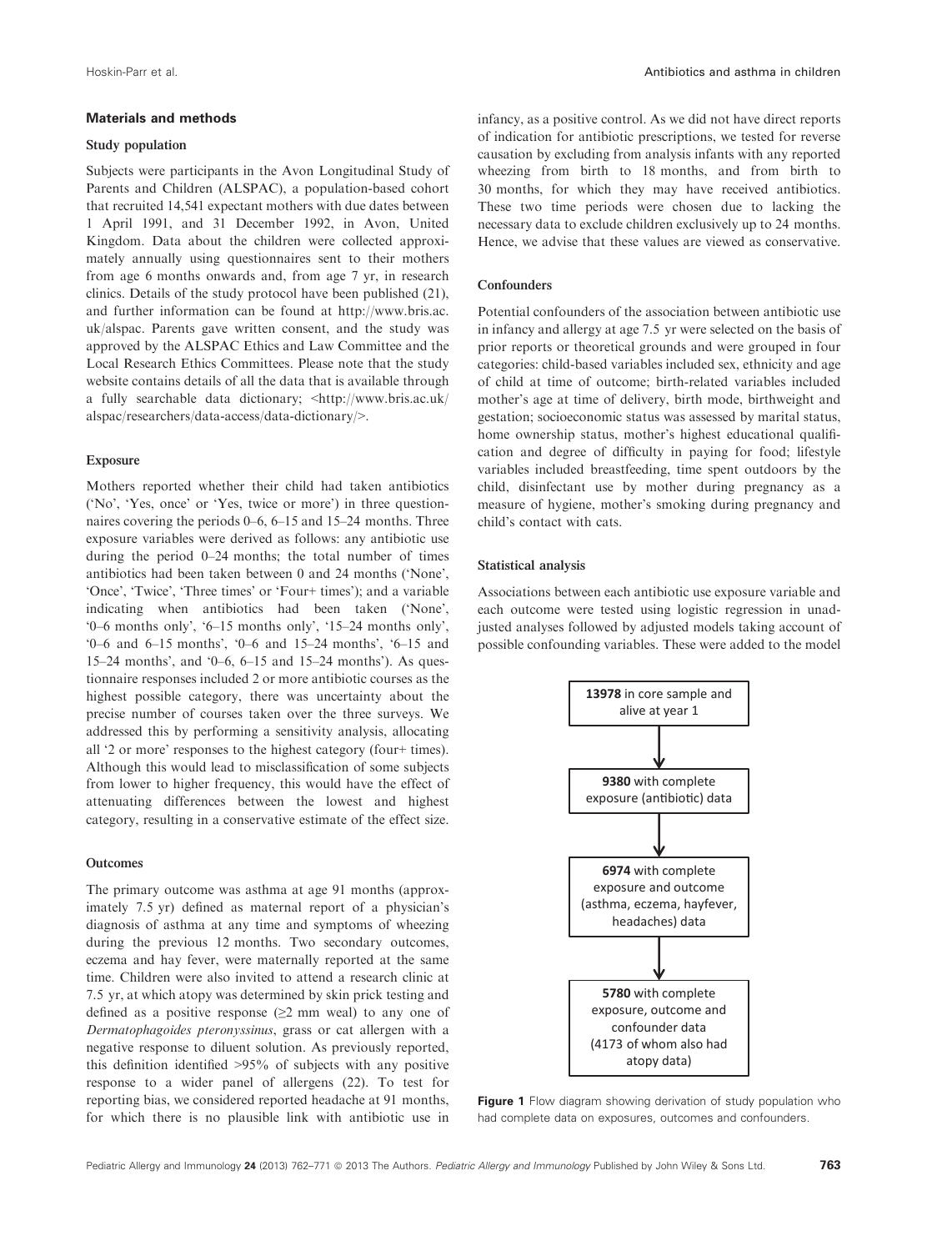#### Materials and methods

#### Study population

Subjects were participants in the Avon Longitudinal Study of Parents and Children (ALSPAC), a population-based cohort that recruited 14,541 expectant mothers with due dates between 1 April 1991, and 31 December 1992, in Avon, United Kingdom. Data about the children were collected approximately annually using questionnaires sent to their mothers from age 6 months onwards and, from age 7 yr, in research clinics. Details of the study protocol have been published (21), and further information can be found at http://www.bris.ac. uk/alspac. Parents gave written consent, and the study was approved by the ALSPAC Ethics and Law Committee and the Local Research Ethics Committees. Please note that the study website contains details of all the data that is available through a fully searchable data dictionary; <http://www.bris.ac.uk/ alspac/researchers/data-access/data-dictionary/>.

#### Exposure

Mothers reported whether their child had taken antibiotics ('No', 'Yes, once' or 'Yes, twice or more') in three questionnaires covering the periods 0–6, 6–15 and 15–24 months. Three exposure variables were derived as follows: any antibiotic use during the period 0–24 months; the total number of times antibiotics had been taken between 0 and 24 months ('None', 'Once', 'Twice', 'Three times' or 'Four+ times'); and a variable indicating when antibiotics had been taken ('None', '0–6 months only', '6–15 months only', '15–24 months only', '0–6 and 6–15 months', '0–6 and 15–24 months', '6–15 and 15–24 months', and '0–6, 6–15 and 15–24 months'). As questionnaire responses included 2 or more antibiotic courses as the highest possible category, there was uncertainty about the precise number of courses taken over the three surveys. We addressed this by performing a sensitivity analysis, allocating all '2 or more' responses to the highest category (four+ times). Although this would lead to misclassification of some subjects from lower to higher frequency, this would have the effect of attenuating differences between the lowest and highest category, resulting in a conservative estimate of the effect size.

#### **Outcomes**

The primary outcome was asthma at age 91 months (approximately 7.5 yr) defined as maternal report of a physician's diagnosis of asthma at any time and symptoms of wheezing during the previous 12 months. Two secondary outcomes, eczema and hay fever, were maternally reported at the same time. Children were also invited to attend a research clinic at 7.5 yr, at which atopy was determined by skin prick testing and defined as a positive response  $(\geq 2 \text{ mm}$  weal) to any one of Dermatophagoides pteronyssinus, grass or cat allergen with a negative response to diluent solution. As previously reported, this definition identified >95% of subjects with any positive response to a wider panel of allergens (22). To test for reporting bias, we considered reported headache at 91 months, for which there is no plausible link with antibiotic use in infancy, as a positive control. As we did not have direct reports of indication for antibiotic prescriptions, we tested for reverse causation by excluding from analysis infants with any reported wheezing from birth to 18 months, and from birth to 30 months, for which they may have received antibiotics. These two time periods were chosen due to lacking the necessary data to exclude children exclusively up to 24 months. Hence, we advise that these values are viewed as conservative.

## Confounders

Potential confounders of the association between antibiotic use in infancy and allergy at age 7.5 yr were selected on the basis of prior reports or theoretical grounds and were grouped in four categories: child-based variables included sex, ethnicity and age of child at time of outcome; birth-related variables included mother's age at time of delivery, birth mode, birthweight and gestation; socioeconomic status was assessed by marital status, home ownership status, mother's highest educational qualification and degree of difficulty in paying for food; lifestyle variables included breastfeeding, time spent outdoors by the child, disinfectant use by mother during pregnancy as a measure of hygiene, mother's smoking during pregnancy and child's contact with cats.

#### Statistical analysis

Associations between each antibiotic use exposure variable and each outcome were tested using logistic regression in unadjusted analyses followed by adjusted models taking account of possible confounding variables. These were added to the model



Figure 1 Flow diagram showing derivation of study population who had complete data on exposures, outcomes and confounders.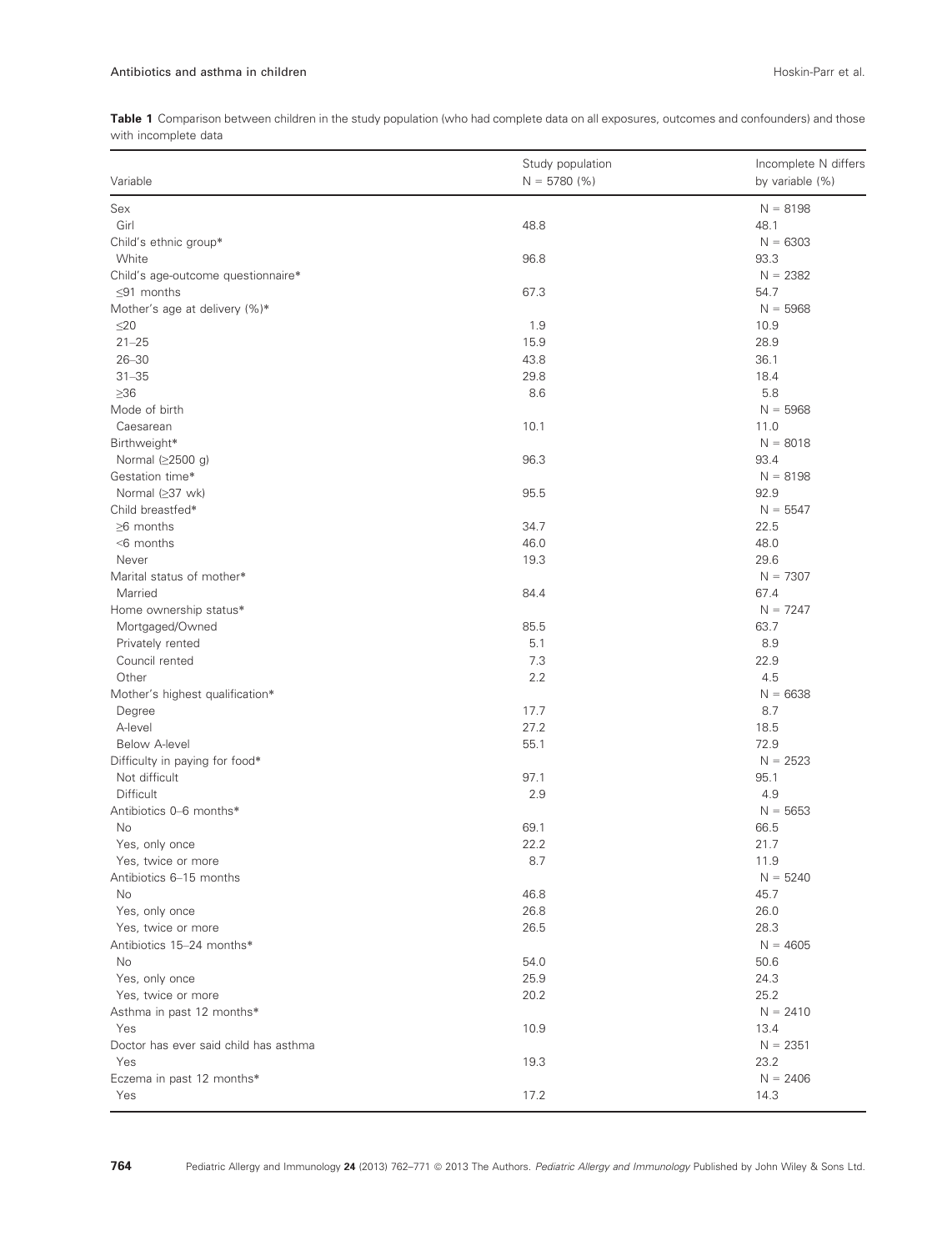# Antibiotics and asthma in children Hoskin-Parr et al. and the state of the Hoskin-Parr et al.

Table 1 Comparison between children in the study population (who had complete data on all exposures, outcomes and confounders) and those with incomplete data

|                                       | Study population | Incomplete N differs |
|---------------------------------------|------------------|----------------------|
| Variable                              | $N = 5780$ (%)   | by variable (%)      |
| Sex                                   |                  | $N = 8198$           |
| Girl                                  | 48.8             | 48.1                 |
| Child's ethnic group*                 |                  | $N = 6303$           |
| White                                 | 96.8             | 93.3                 |
| Child's age-outcome questionnaire*    |                  | $N = 2382$           |
| $\leq$ 91 months                      | 67.3             | 54.7                 |
| Mother's age at delivery (%)*         |                  | $N = 5968$           |
| $\leq$ 20                             | 1.9              | 10.9                 |
| $21 - 25$                             | 15.9             | 28.9                 |
| $26 - 30$                             | 43.8             | 36.1                 |
| $31 - 35$                             | 29.8             | 18.4                 |
| $\geq 36$                             | 8.6              | 5.8                  |
| Mode of birth                         |                  | $N = 5968$           |
| Caesarean                             | 10.1             | 11.0                 |
| Birthweight*                          |                  | $N = 8018$           |
| Normal (≥2500 g)                      | 96.3             | 93.4                 |
| Gestation time*                       |                  | $N = 8198$           |
| Normal (≥37 wk)                       | 95.5             | 92.9                 |
| Child breastfed*                      |                  | $N = 5547$           |
| $\geq 6$ months                       | 34.7             | 22.5                 |
| $<$ 6 months                          | 46.0             | 48.0                 |
| Never                                 | 19.3             | 29.6                 |
| Marital status of mother*             |                  | $N = 7307$           |
| Married                               | 84.4             | 67.4                 |
| Home ownership status*                |                  | $N = 7247$           |
| Mortgaged/Owned                       | 85.5             | 63.7                 |
| Privately rented                      | 5.1              | 8.9                  |
| Council rented                        | 7.3              | 22.9                 |
| Other                                 | 2.2              | 4.5                  |
| Mother's highest qualification*       |                  | $N = 6638$           |
| Degree                                | 17.7             | 8.7                  |
| A-level                               | 27.2             | 18.5                 |
| <b>Below A-level</b>                  | 55.1             | 72.9                 |
| Difficulty in paying for food*        |                  | $N = 2523$           |
| Not difficult                         | 97.1             | 95.1                 |
| <b>Difficult</b>                      | 2.9              | 4.9                  |
| Antibiotics 0-6 months*               |                  | $N = 5653$           |
| No                                    | 69.1             | 66.5                 |
| Yes, only once                        | 22.2             | 21.7                 |
| Yes, twice or more                    | 8.7              | 11.9                 |
| Antibiotics 6-15 months               |                  | $N = 5240$           |
| No                                    | 46.8             | 45.7                 |
| Yes, only once                        | 26.8             | 26.0                 |
| Yes, twice or more                    | 26.5             | 28.3                 |
| Antibiotics 15-24 months*             |                  | $N = 4605$           |
| No                                    | 54.0             | 50.6                 |
| Yes, only once                        | 25.9             | 24.3                 |
| Yes, twice or more                    | 20.2             | 25.2                 |
| Asthma in past 12 months*             |                  | $N = 2410$           |
| Yes                                   | 10.9             | 13.4                 |
| Doctor has ever said child has asthma |                  | $N = 2351$           |
| Yes                                   | 19.3             | 23.2                 |
| Eczema in past 12 months*             |                  | $N = 2406$           |
| Yes                                   | 17.2             | 14.3                 |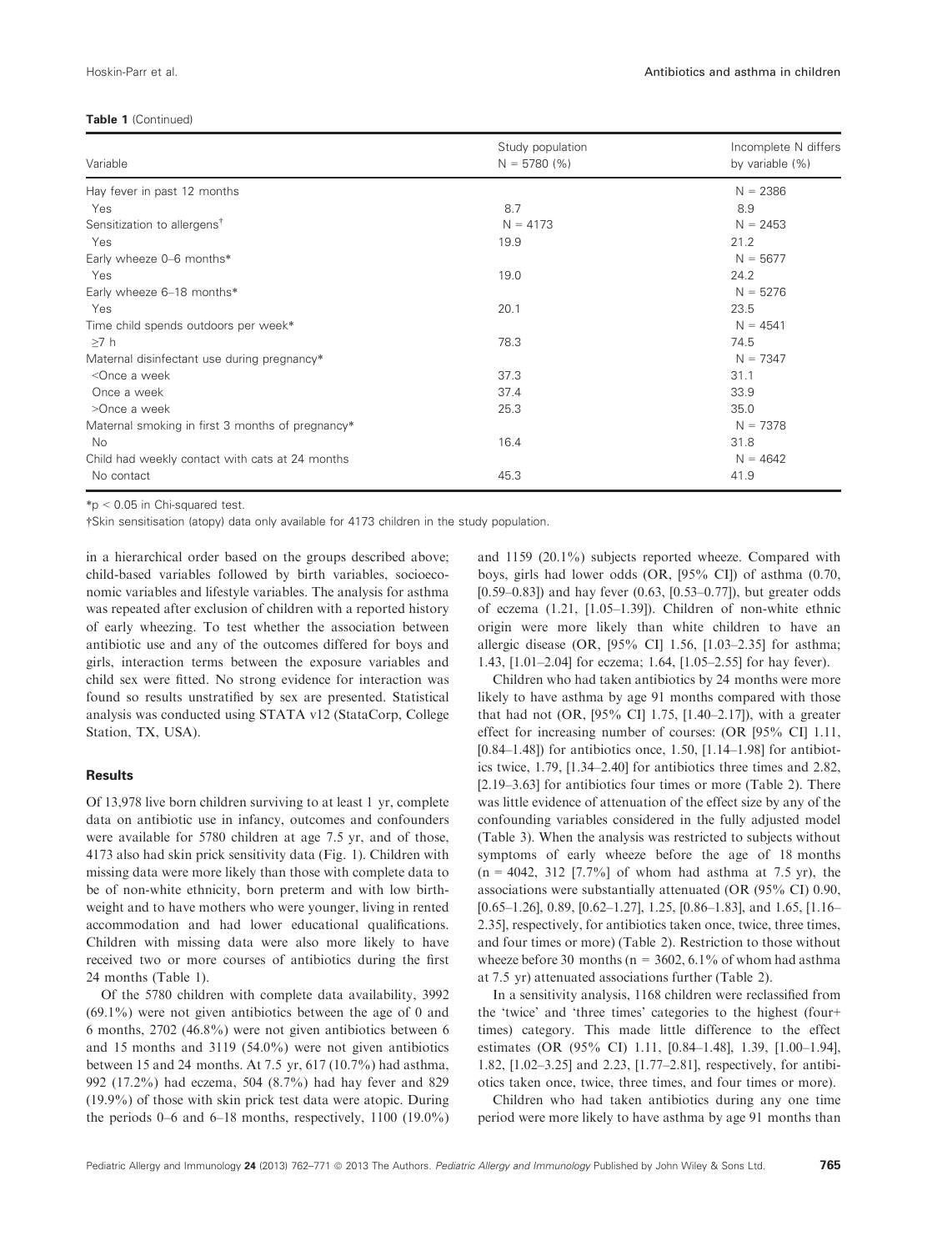|  |  | Table 1 (Continued) |
|--|--|---------------------|
|--|--|---------------------|

|                                                             | Study population | Incomplete N differs |
|-------------------------------------------------------------|------------------|----------------------|
| Variable                                                    | $N = 5780$ (%)   | by variable (%)      |
| Hay fever in past 12 months                                 |                  | $N = 2386$           |
| Yes                                                         | 8.7              | 8.9                  |
| Sensitization to allergens <sup>†</sup>                     | $N = 4173$       | $N = 2453$           |
| Yes                                                         | 19.9             | 21.2                 |
| Early wheeze 0-6 months*                                    |                  | $N = 5677$           |
| Yes                                                         | 19.0             | 24.2                 |
| Early wheeze 6-18 months*                                   |                  | $N = 5276$           |
| Yes                                                         | 20.1             | 23.5                 |
| Time child spends outdoors per week*                        |                  | $N = 4541$           |
| $\geq 7$ h                                                  | 78.3             | 74.5                 |
| Maternal disinfectant use during pregnancy*                 |                  | $N = 7347$           |
| <once a="" td="" week<=""><td>37.3</td><td>31.1</td></once> | 37.3             | 31.1                 |
| Once a week                                                 | 37.4             | 33.9                 |
| >Once a week                                                | 25.3             | 35.0                 |
| Maternal smoking in first 3 months of pregnancy*            |                  | $N = 7378$           |
| No                                                          | 16.4             | 31.8                 |
| Child had weekly contact with cats at 24 months             |                  | $N = 4642$           |
| No contact                                                  | 45.3             | 41.9                 |

\*p < 0.05 in Chi-squared test.

†Skin sensitisation (atopy) data only available for 4173 children in the study population.

in a hierarchical order based on the groups described above; child-based variables followed by birth variables, socioeconomic variables and lifestyle variables. The analysis for asthma was repeated after exclusion of children with a reported history of early wheezing. To test whether the association between antibiotic use and any of the outcomes differed for boys and girls, interaction terms between the exposure variables and child sex were fitted. No strong evidence for interaction was found so results unstratified by sex are presented. Statistical analysis was conducted using STATA v12 (StataCorp, College Station, TX, USA).

#### **Results**

Of 13,978 live born children surviving to at least 1 yr, complete data on antibiotic use in infancy, outcomes and confounders were available for 5780 children at age 7.5 yr, and of those, 4173 also had skin prick sensitivity data (Fig. 1). Children with missing data were more likely than those with complete data to be of non-white ethnicity, born preterm and with low birthweight and to have mothers who were younger, living in rented accommodation and had lower educational qualifications. Children with missing data were also more likely to have received two or more courses of antibiotics during the first 24 months (Table 1).

Of the 5780 children with complete data availability, 3992 (69.1%) were not given antibiotics between the age of 0 and 6 months, 2702 (46.8%) were not given antibiotics between 6 and 15 months and 3119 (54.0%) were not given antibiotics between 15 and 24 months. At 7.5 yr, 617 (10.7%) had asthma, 992 (17.2%) had eczema, 504 (8.7%) had hay fever and 829 (19.9%) of those with skin prick test data were atopic. During the periods  $0-6$  and  $6-18$  months, respectively,  $1100$   $(19.0\%)$ 

and 1159 (20.1%) subjects reported wheeze. Compared with boys, girls had lower odds (OR, [95% CI]) of asthma (0.70, [0.59–0.83]) and hay fever (0.63, [0.53–0.77]), but greater odds of eczema (1.21, [1.05–1.39]). Children of non-white ethnic origin were more likely than white children to have an allergic disease (OR, [95% CI] 1.56, [1.03–2.35] for asthma; 1.43, [1.01–2.04] for eczema; 1.64, [1.05–2.55] for hay fever).

Children who had taken antibiotics by 24 months were more likely to have asthma by age 91 months compared with those that had not (OR, [95% CI] 1.75, [1.40–2.17]), with a greater effect for increasing number of courses: (OR [95% CI] 1.11, [0.84–1.48]) for antibiotics once, 1.50, [1.14–1.98] for antibiotics twice, 1.79, [1.34–2.40] for antibiotics three times and 2.82, [2.19–3.63] for antibiotics four times or more (Table 2). There was little evidence of attenuation of the effect size by any of the confounding variables considered in the fully adjusted model (Table 3). When the analysis was restricted to subjects without symptoms of early wheeze before the age of 18 months  $(n = 4042, 312 [7.7\%]$  of whom had asthma at 7.5 yr), the associations were substantially attenuated (OR (95% CI) 0.90,  $[0.65-1.26]$ , 0.89,  $[0.62-1.27]$ , 1.25,  $[0.86-1.83]$ , and 1.65,  $[1.16-$ 2.35], respectively, for antibiotics taken once, twice, three times, and four times or more) (Table 2). Restriction to those without wheeze before 30 months ( $n = 3602, 6.1\%$  of whom had asthma at 7.5 yr) attenuated associations further (Table 2).

In a sensitivity analysis, 1168 children were reclassified from the 'twice' and 'three times' categories to the highest (four+ times) category. This made little difference to the effect estimates (OR (95% CI) 1.11, [0.84–1.48], 1.39, [1.00–1.94], 1.82, [1.02–3.25] and 2.23, [1.77–2.81], respectively, for antibiotics taken once, twice, three times, and four times or more).

Children who had taken antibiotics during any one time period were more likely to have asthma by age 91 months than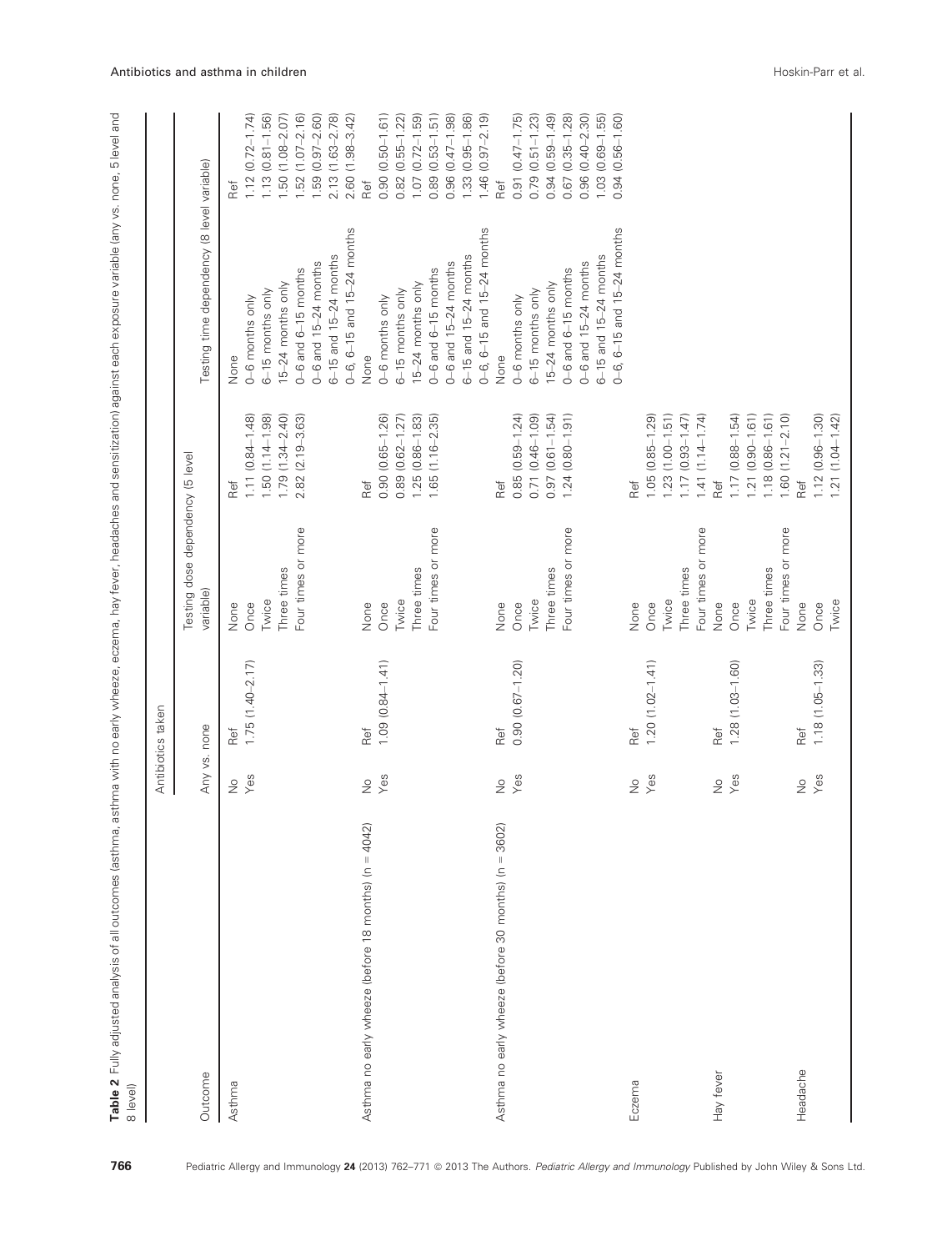| 7<br>ì<br>ءِ<br>م                               |                  |
|-------------------------------------------------|------------------|
| $\frac{1}{2}$                                   |                  |
| 5                                               |                  |
| nne 5 level                                     |                  |
| $\overline{ }$<br>j                             |                  |
|                                                 |                  |
|                                                 |                  |
| $\frac{1}{2}$                                   |                  |
| $\frac{5}{2}$                                   |                  |
| 5<br>i                                          |                  |
| į<br>Ï                                          |                  |
| י פוי<br>5                                      |                  |
| $\frac{1}{2}$                                   |                  |
| Ś<br>j                                          |                  |
| ct anh a'<br>$\overline{a}$                     |                  |
| 5<br>כ                                          |                  |
| i                                               |                  |
| j<br>i<br>ś                                     |                  |
| å                                               |                  |
| 5<br>$-1$                                       |                  |
| j                                               |                  |
| Ï<br>うつ                                         |                  |
| s<br>C<br>j<br>l<br>₹                           |                  |
| å<br>5                                          |                  |
| $\frac{1}{2}$<br>l<br>$\frac{1}{2}$             |                  |
| ₹<br>ï                                          |                  |
| i<br>5<br>i<br>S<br>١                           |                  |
| 1<br>5                                          |                  |
| NAF<br>2                                        |                  |
| Ï<br>$\frac{1}{\alpha}$                         |                  |
| 3<br>ś                                          |                  |
| í<br>$\sum_{i=1}^{n}$                           |                  |
| C7QM:<br>)<br>)<br>)                            |                  |
| ì                                               |                  |
| 500                                             |                  |
| WIEG4G.                                         |                  |
| $\frac{1}{2}$                                   |                  |
| i<br>ׇ֚֕֡                                       |                  |
| 3<br>i<br>Ī                                     |                  |
| ֦֖֖֖֖֧֧֧֧֚֚֚֚֚֚֚֚֚֚֚֚֚֚֚֚֚֚֚֚֩֕֕֝֝֬֝֝֝֝֝֟֓֝֓֝֬֝ |                  |
|                                                 |                  |
|                                                 |                  |
| asthma wit                                      |                  |
|                                                 |                  |
| d<br>į                                          |                  |
| İ                                               |                  |
| Ì                                               |                  |
|                                                 |                  |
| ł                                               |                  |
|                                                 |                  |
|                                                 |                  |
|                                                 |                  |
|                                                 |                  |
|                                                 |                  |
| l                                               |                  |
|                                                 |                  |
|                                                 |                  |
| Š                                               |                  |
| Ī                                               |                  |
| I                                               | i                |
| Ś<br>ì                                          | l<br>j<br>í<br>1 |
| ī                                               |                  |

|                                                      |                          | Antibiotics taken   |                                  |                         |                                            |                         |
|------------------------------------------------------|--------------------------|---------------------|----------------------------------|-------------------------|--------------------------------------------|-------------------------|
|                                                      |                          |                     | Testing dose dependency (5 level |                         |                                            |                         |
| Outcome                                              |                          | Any vs. none        | variable)                        |                         | Testing time dependency (8 level variable) |                         |
| Asthma                                               | $\frac{1}{2}$            | Ref                 | None                             | Ref                     | None                                       | Ref                     |
|                                                      | Yes                      | $1.75(1.40 - 2.17)$ | Once                             | $(0.84 - 1.48)$<br>1.11 | 0-6 months only                            | $(0.72 - 1.74)$<br>1.12 |
|                                                      |                          |                     | Twice                            | $1.50(1.14 - 1.98)$     | 6-15 months only                           | $1.13(0.81 - 1.56)$     |
|                                                      |                          |                     | Three times                      | $(1.34 - 2.40)$<br>1.79 | 15-24 months only                          | 1.50 (1.08-2.07)        |
|                                                      |                          |                     | Four times or more               | $(2.19 - 3.63)$<br>2.82 | $0-6$ and $6-15$ months                    | $1.52(1.07 - 2.16)$     |
|                                                      |                          |                     |                                  |                         | $0-6$ and $15-24$ months                   | $1.59(0.97 - 2.60)$     |
|                                                      |                          |                     |                                  |                         | $6-15$ and $15-24$ months                  | 2.13 (1.63-2.78)        |
|                                                      |                          |                     |                                  |                         | $0-6$ , $6-15$ and $15-24$ months          | 2.60 (1.98-3.42)        |
| Asthma no early wheeze (before 18 months) (n = 4042) | $\frac{1}{2}$            | Ref                 | None                             | Ref                     | None                                       | Ref                     |
|                                                      | Yes                      | $1.09(0.84 - 1.41)$ | Once                             | $(0.65 - 1.26)$<br>0.90 | 0-6 months only                            | $(0.50 - 1.61)$<br>0.90 |
|                                                      |                          |                     | Twice                            | $0.89(0.62 - 1.27)$     | 6-15 months only                           | $(0.55 - 1.22)$<br>0.82 |
|                                                      |                          |                     | Three times                      | $(0.86 - 1.83)$<br>1.25 | 15-24 months only                          | $1.07(0.72 - 1.59)$     |
|                                                      |                          |                     | Four times or more               | $1.65(1.16-2.35)$       | $0-6$ and $6-15$ months                    | $0.89(0.53 - 1.51)$     |
|                                                      |                          |                     |                                  |                         | $0-6$ and $15-24$ months                   | $0.96(0.47 - 1.98)$     |
|                                                      |                          |                     |                                  |                         | $6-15$ and $15-24$ months                  | $(0.95 - 1.86)$<br>1.33 |
|                                                      |                          |                     |                                  |                         | $0-6$ , $6-15$ and $15-24$ months          | $(0.97 - 2.19)$<br>1.46 |
| Asthma no early wheeze (before 30 months) (n = 3602) | $\frac{1}{2}$            | Ref                 | None                             | Ref                     | None                                       | Ref                     |
|                                                      | Yes                      | $0.90(0.67 - 1.20)$ | Once                             | $(0.59 - 1.24)$<br>0.85 | 0-6 months only                            | $(0.47 - 1.75)$<br>0.91 |
|                                                      |                          |                     | Twice                            | $(0.46 - 1.09)$<br>0.71 | 6-15 months only                           | $(0.51 - 1.23)$<br>0.79 |
|                                                      |                          |                     | Three times                      | $(0.61 - 1.54)$<br>0.97 | 15-24 months only                          | $0.94(0.59 - 1.49)$     |
|                                                      |                          |                     | Four times or more               | $(0.80 - 1.91)$<br>1.24 | $0-6$ and $6-15$ months                    | $(0.35 - 1.28)$<br>0.67 |
|                                                      |                          |                     |                                  |                         | $0-6$ and $15-24$ months                   | $0.96(0.40 - 2.30)$     |
|                                                      |                          |                     |                                  |                         | $6-15$ and $15-24$ months                  | $(0.69 - 1.55)$<br>1.03 |
|                                                      |                          |                     |                                  |                         | $0-6$ , $6-15$ and $15-24$ months          | $(0.56 - 1.60)$<br>0.94 |
| Eczema                                               | $\frac{1}{2}$            | Ref                 | None                             | Ref                     |                                            |                         |
|                                                      | Yes                      | $1.20(1.02 - 1.41)$ | Once                             | $(0.85 - 1.29)$<br>1.05 |                                            |                         |
|                                                      |                          |                     | Twice                            | $(1.00 - 1.51)$<br>1.23 |                                            |                         |
|                                                      |                          |                     | Three times                      | $(0.93 - 1.47)$<br>1.17 |                                            |                         |
|                                                      |                          |                     | Four times or more               | $(1.14 - 1.74)$<br>1.41 |                                            |                         |
| Hay fever                                            | $\stackrel{\circ}{\geq}$ | Ref                 | None                             | Ref                     |                                            |                         |
|                                                      | Yes                      | $1.28(1.03 - 1.60)$ | Once                             | $(0.88 - 1.54)$<br>1.17 |                                            |                         |
|                                                      |                          |                     | Twice                            | $(0.90 - 1.61)$<br>1.21 |                                            |                         |
|                                                      |                          |                     | Three times                      | $(0.86 - 1.61)$<br>1.18 |                                            |                         |
|                                                      |                          |                     | Four times or more               | $(1.21 - 2.10)$<br>1.60 |                                            |                         |
| Headache                                             | $\frac{1}{2}$            | Ref                 | None                             | Ref                     |                                            |                         |
|                                                      | Yes                      | $1.18(1.05 - 1.33)$ | Once                             | $1.12(0.96 - 1.30)$     |                                            |                         |
|                                                      |                          |                     | Twice                            | $(1.04 - 1.42)$<br>1.21 |                                            |                         |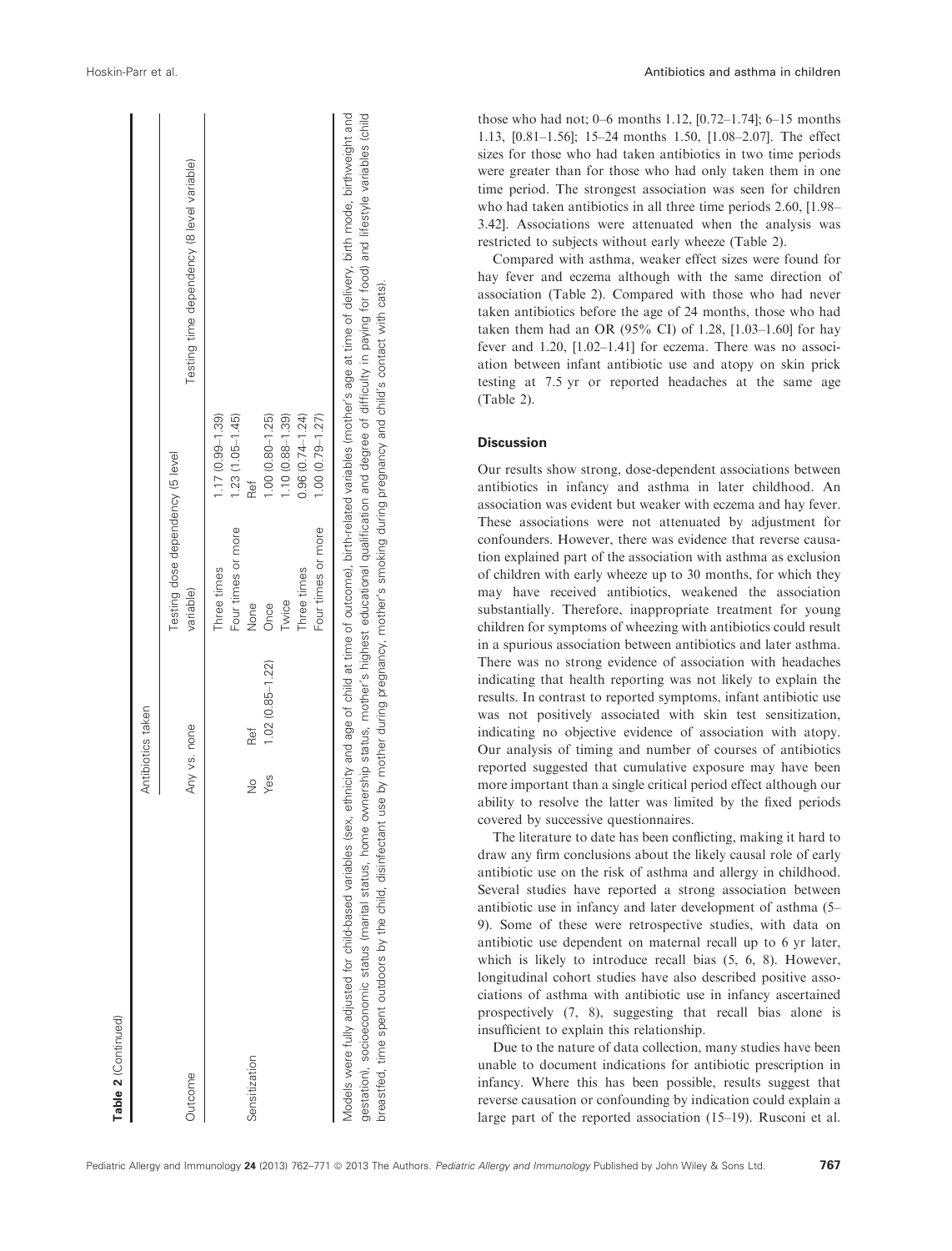|               |                      | Antibiotics taken          |                                                                                                 |                                                                                                                                               |                                            |
|---------------|----------------------|----------------------------|-------------------------------------------------------------------------------------------------|-----------------------------------------------------------------------------------------------------------------------------------------------|--------------------------------------------|
| Outcome       |                      | Any vs. none               | Testing dose dependency (5 level<br>variable)                                                   |                                                                                                                                               | Testing time dependency (8 level variable) |
| Sensitization | Yes<br>$\frac{1}{2}$ | $1.02(0.85 - 1.22)$<br>Ref | Four times or more<br>Four times or more<br>Three times<br>Three times<br>Twice<br>None<br>Once | $1.10(0.88 - 1.39)$<br>$1.00(0.79 - 1.27)$<br>$1.17(0.99 - 1.39)$<br>$1.23(1.05 - 1.45)$<br>$1.00(0.80 - 1.25)$<br>$0.96(0.74 - 1.24)$<br>Ref |                                            |

 $\mathbf{I}$  $\overline{\phantom{a}}$   $\overline{1}$ 

 $\overline{z}$ gestation), socioeconomic status (marital status, home ownership status, mother's highest educational qualification and degree of difficulty in paying for food) and lifestyle variables (child Models were fully adjusted for child-based variables (sex, ethnicity and age of child at time of outcome), birth-related variables (mother's age at time of delivery, birth mode, birthweight and gestation), socioeconomic status (marital status, home ownership status, mother's highest educational qualification and degree of difficulty in paying for food) and lifestyle variables (child breastfed, time spent outdoors by the child, disinfectant use by mother during pregnancy, mother's smoking during pregnancy and child's contact with cats). use by mother during pregnancy, mother's smoking during pregnancy and child's contact with cats) disinfectant child. time spent outdoors by the  $\frac{1}{2}$ e Tuly dujusteu breastfed, those who had not; 0–6 months 1.12, [0.72–1.74]; 6–15 months 1.13, [0.81–1.56]; 15–24 months 1.50, [1.08–2.07]. The effect sizes for those who had taken antibiotics in two time periods were greater than for those who had only taken them in one time period. The strongest association was seen for children who had taken antibiotics in all three time periods 2.60, [1.98– 3.42]. Associations were attenuated when the analysis was restricted to subjects without early wheeze (Table 2).

Compared with asthma, weaker effect sizes were found for hay fever and eczema although with the same direction of association (Table 2). Compared with those who had never taken antibiotics before the age of 24 months, those who had taken them had an OR (95% CI) of 1.28, [1.03–1.60] for hay fever and 1.20, [1.02–1.41] for eczema. There was no association between infant antibiotic use and atopy on skin prick testing at 7.5 yr or reported headaches at the same age (Table 2).

# **Discussion**

Our results show strong, dose-dependent associations between antibiotics in infancy and asthma in later childhood. An association was evident but weaker with eczema and hay fever. These associations were not attenuated by adjustment for confounders. However, there was evidence that reverse causation explained part of the association with asthma as exclusion of children with early wheeze up to 30 months, for which they may have received antibiotics, weakened the association substantially. Therefore, inappropriate treatment for young children for symptoms of wheezing with antibiotics could result in a spurious association between antibiotics and later asthma. There was no strong evidence of association with headaches indicating that health reporting was not likely to explain the results. In contrast to reported symptoms, infant antibiotic use was not positively associated with skin test sensitization, indicating no objective evidence of association with atopy. Our analysis of timing and number of courses of antibiotics reported suggested that cumulative exposure may have been more important than a single critical period effect although our ability to resolve the latter was limited by the fixed periods covered by successive questionnaires.

The literature to date has been conflicting, making it hard to draw any firm conclusions about the likely causal role of early antibiotic use on the risk of asthma and allergy in childhood. Several studies have reported a strong association between antibiotic use in infancy and later development of asthma (5– 9). Some of these were retrospective studies, with data on antibiotic use dependent on maternal recall up to 6 yr later, which is likely to introduce recall bias (5, 6, 8). However, longitudinal cohort studies have also described positive associations of asthma with antibiotic use in infancy ascertained prospectively (7, 8), suggesting that recall bias alone is insufficient to explain this relationship.

Due to the nature of data collection, many studies have been unable to document indications for antibiotic prescription in infancy. Where this has been possible, results suggest that reverse causation or confounding by indication could explain a large part of the reported association (15–19). Rusconi et al.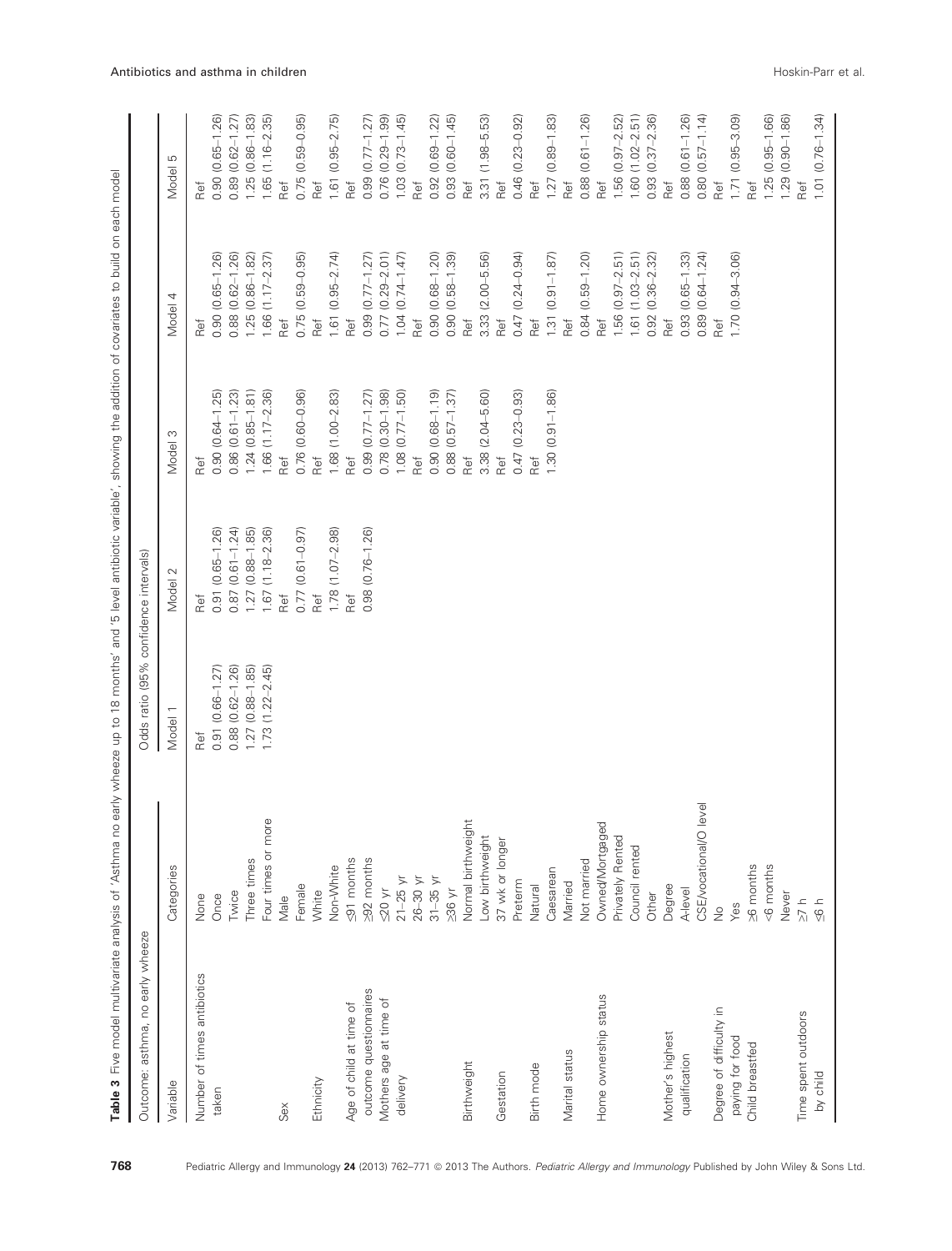| ą<br>)<br>S<br>$\ddot{\epsilon}$<br>J<br>í                                |  |
|---------------------------------------------------------------------------|--|
| j<br>¢<br>ׇׇ֠֕֡֡<br>Ċ<br>$\mathbf$<br>ı<br>١                              |  |
| ١<br>l<br>1<br>ï<br>Í                                                     |  |
| j<br>ï<br>i<br>j                                                          |  |
| j<br>l<br>j<br>$\overline{\phantom{a}}$<br>١                              |  |
| Í<br>$\frac{1}{2}$                                                        |  |
| Ï<br>i                                                                    |  |
| i<br>I<br>ł<br>i<br>S<br>١                                                |  |
| ļ<br>j                                                                    |  |
| ble<br>j<br>$\overline{\epsilon}$<br>ׇ֚֘                                  |  |
| i<br>j                                                                    |  |
| i<br>j<br>J<br>I                                                          |  |
| $\mathbf{I}$<br>ī<br>١<br>l<br>I                                          |  |
| $\overline{\phantom{a}}$<br>י<br>ג<br>ļ<br>Ç<br>ಕ<br>$\ddot{\phantom{0}}$ |  |
| Ï<br>j<br>j<br>ļ<br>l                                                     |  |
| í<br>C<br>7                                                               |  |
| j<br>֠<br>ׇ֚֓                                                             |  |
| Ò<br>1<br>ï<br>1                                                          |  |
| ī<br>å<br>٦<br>3<br>l<br>≧                                                |  |
| ļ<br>$\overline{c}$<br>Asthm                                              |  |
|                                                                           |  |
|                                                                           |  |
| ł<br>:                                                                    |  |
| ļ<br>i                                                                    |  |
| Ì<br>֡֡֡֡֡<br>ī<br>֚֬֕                                                    |  |
| i                                                                         |  |
|                                                                           |  |

| Outcome: asthma, no early wheeze                              |                                                                                          | Odds ratio (95% confidence intervals)                                                           |                                                                                                                 |                                                                                              |                                                                                                  |                                                                                                        |
|---------------------------------------------------------------|------------------------------------------------------------------------------------------|-------------------------------------------------------------------------------------------------|-----------------------------------------------------------------------------------------------------------------|----------------------------------------------------------------------------------------------|--------------------------------------------------------------------------------------------------|--------------------------------------------------------------------------------------------------------|
| Variable                                                      | Categories                                                                               | Model 1                                                                                         | Model 2                                                                                                         | Model 3                                                                                      | Model 4                                                                                          | Model 5                                                                                                |
| Number of times antibiotics<br>taken                          | Four times or more<br>Three times<br>Twice<br>Once<br>None                               | $0.88$ $(0.62 - 1.26)$<br>$1.27(0.88 - 1.85)$<br>$1.73(1.22 - 2.45)$<br>0.91 (0.66-1.27)<br>Ref | $(0.61 - 1.24)$<br>$(0.88 - 1.85)$<br>$(1.18 - 2.36)$<br>$(0.65 - 1.26)$<br>1.27<br>0.91<br>1.67<br>0.87<br>Ref | $1.24(0.85 - 1.81)$<br>$0.86(0.61 - 1.23)$<br>$0.90(0.64 - 1.25)$<br>1.66 (1.17-2.36)<br>Ref | 0.88 (0.62-1.26)<br>$1.25(0.86 - 1.82)$<br>$1.66(1.17 - 2.37)$<br>$0.90(0.65 - 1.26)$<br>Ref     | $1.25(0.86 - 1.83)$<br>$0.89(0.62 - 1.27)$<br>$1.65(1.16 - 2.35)$<br>$0.90(0.65 - 1.26)$<br>Ref        |
| Ethnicity<br>Sex                                              | Non-White<br>Female<br>White<br>Male                                                     |                                                                                                 | $0.77(0.61 - 0.97)$<br>1.78 (1.07-2.98)<br>Ref<br>Ref                                                           | $0.76(0.60 - 0.96)$<br>1.68 (1.00-2.83)<br>Ref<br>Ref                                        | $0.75(0.59 - 0.95)$<br>$(0.95 - 2.74)$<br>1.61<br>Ref<br>Ref                                     | $0.75(0.59 - 0.95)$<br>$(0.95 - 2.75)$<br>1.61<br>Ref<br>Ref                                           |
| outcome questionnaires<br>Age of child at time of             | $91$ months<br>>92 months<br>$\leq$ 20 yr                                                |                                                                                                 | $0.98(0.76 - 1.26)$<br>Ref                                                                                      | $0.99(0.77 - 1.27)$<br>$0.78(0.30 - 1.98)$<br>Ref                                            | $0.77(0.29 - 2.01)$<br>$0.99(0.77 - 1.27)$<br>Ref                                                | $0.76(0.29 - 1.99)$<br>$0.99(0.77 - 1.27)$<br>Ref                                                      |
| Mothers age at time of<br>delivery                            | 26-30 yr<br>$31 - 35$ yr<br>$21-25$ yr<br>$\geq 36$ yr                                   |                                                                                                 |                                                                                                                 | $1.08(0.77 - 1.50)$<br>$0.90(0.68 - 1.19)$<br>$0.88(0.57 - 1.37)$<br>Ref                     | $1.04(0.74 - 1.47)$<br>$0.90(0.68 - 1.20)$<br>$0.90(0.58 - 1.39)$<br>Ref                         | $0.92(0.69 - 1.22)$<br>$0.93(0.60 - 1.45)$<br>$1.03(0.73 - 1.45)$<br>Ref                               |
| Birthweight<br>Gestation                                      | Normal birthweight<br>Low birthweight<br>37 wk or longer                                 |                                                                                                 |                                                                                                                 | 3.38 (2.04-5.60)<br>Ref<br>Ref                                                               | 3.33 (2.00-5.56)<br>Ref<br>Ref                                                                   | $(1.98 - 5.53)$<br>3.31<br>Ref<br>Ref                                                                  |
| Birth mode                                                    | Caesarean<br>Preterm<br>Natural                                                          |                                                                                                 |                                                                                                                 | $1.30(0.91 - 1.86)$<br>$0.47(0.23 - 0.93)$<br>Ref                                            | $0.47(0.24 - 0.94)$<br>$1.31(0.91 - 1.87)$<br>Ref                                                | $0.46(0.23 - 0.92)$<br>$1.27(0.89 - 1.83)$<br>Ref                                                      |
| Home ownership status<br>Marital status                       | Owned/Mortgaged<br>Privately Rented<br>Council rented<br>Not married<br>Married<br>Other |                                                                                                 |                                                                                                                 |                                                                                              | 1.56 (0.97-2.51)<br>1.61 (1.03-2.51)<br>$0.92(0.36 - 2.32)$<br>$0.84(0.59 - 1.20)$<br>Ref<br>Ref | $1.60(1.02 - 2.51)$<br>$1.56(0.97 - 2.52)$<br>$0.93(0.37 - 2.36)$<br>$0.88(0.61 - 1.26)$<br>Ref<br>Ref |
| Mother's highest<br>qualification                             | CSE/vocational/O level<br>Degree<br>A-level                                              |                                                                                                 |                                                                                                                 |                                                                                              | $0.89(0.64 - 1.24)$<br>$0.93(0.65 - 1.33)$<br>Ref                                                | $0.88(0.61 - 1.26)$<br>$0.80(0.57 - 1.14)$<br>Ref                                                      |
| Degree of difficulty in<br>paying for food<br>Child breastfed | >6 months<br><6 months<br>Never<br>Yes<br>$\frac{1}{2}$                                  |                                                                                                 |                                                                                                                 |                                                                                              | 1.70 (0.94-3.06)<br>Ref                                                                          | $1.25(0.95 - 1.66)$<br>$1.29(0.90 - 1.86)$<br>$1.71(0.95 - 3.09)$<br>Ref<br>Ref                        |
| Time spent outdoors<br>by child                               | $\frac{1}{2}$<br>$\frac{1}{\sqrt{6}}$                                                    |                                                                                                 |                                                                                                                 |                                                                                              |                                                                                                  | $1.01(0.76 - 1.34)$<br>Ref                                                                             |
|                                                               |                                                                                          |                                                                                                 |                                                                                                                 |                                                                                              |                                                                                                  |                                                                                                        |

768 Pediatric Allergy and Immunology 24 (2013) 762-771 @ 2013 The Authors. Pediatric Allergy and Immunology Published by John Wiley & Sons Ltd.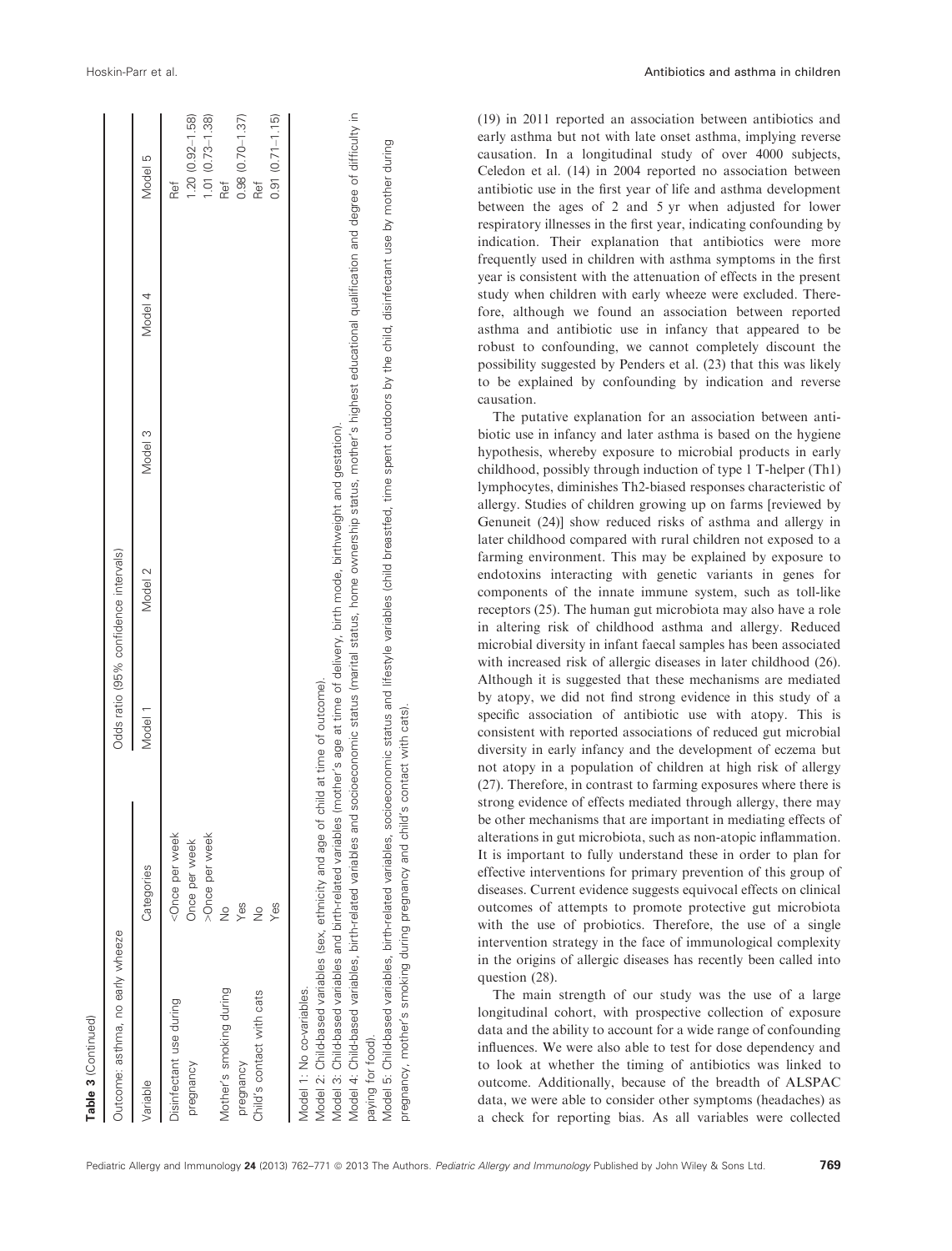| Outcome: asthma, no early wheeze                                                    |                                                                                                                                                                                                                                                                                                                                          |                               | Odds ratio (95% confidence intervals) |         |         |                        |
|-------------------------------------------------------------------------------------|------------------------------------------------------------------------------------------------------------------------------------------------------------------------------------------------------------------------------------------------------------------------------------------------------------------------------------------|-------------------------------|---------------------------------------|---------|---------|------------------------|
| Variable                                                                            | Categories                                                                                                                                                                                                                                                                                                                               | Model 1                       | Model 2                               | Model 3 | Model 4 | Model 5                |
| Disinfectant use during                                                             | <once per="" td="" week<=""><td></td><td></td><td></td><td></td><td>Ref</td></once>                                                                                                                                                                                                                                                      |                               |                                       |         |         | Ref                    |
| pregnancy                                                                           | Once per week                                                                                                                                                                                                                                                                                                                            |                               |                                       |         |         | $1.20(0.92 - 1.58)$    |
|                                                                                     | >Once per week                                                                                                                                                                                                                                                                                                                           |                               |                                       |         |         | $1.01$ $(0.73 - 1.38)$ |
| Mother's smoking during                                                             | $\frac{1}{2}$                                                                                                                                                                                                                                                                                                                            |                               |                                       |         |         | Ref                    |
| pregnancy                                                                           | Yes                                                                                                                                                                                                                                                                                                                                      |                               |                                       |         |         | $0.98(0.70 - 1.37)$    |
| Child's contact with cats                                                           | $\frac{1}{2}$                                                                                                                                                                                                                                                                                                                            |                               |                                       |         |         | Ref                    |
|                                                                                     | Yes                                                                                                                                                                                                                                                                                                                                      |                               |                                       |         |         | $0.91(0.71 - 1.15)$    |
| Model 2: Child-based variables (sex, ethnicity and age<br>Model 1: No co-variables. |                                                                                                                                                                                                                                                                                                                                          | of child at time of outcome). |                                       |         |         |                        |
|                                                                                     | Model 4: Child-based variables, birth-related variables and socioeconomic status (marital status, home ownership status, mother's highest educational qualification and degree of difficulty in<br>Model 3: Child-based variables and birth-related variables (mother's age at time of delivery, birth mode, birthweight and gestation). |                               |                                       |         |         |                        |
| paying for food).                                                                   |                                                                                                                                                                                                                                                                                                                                          |                               |                                       |         |         |                        |

Table 3 (Continued)

(Continued)

Model 5: Child-based variables, birth-related variables, socioeconomic status and lifestyle variables (child breastfed, time spent outdoors by the child, disinfectant use by mother during Model 5: Child-based variables, birth-related variables, socioeconomic status and lifestyle variables (child breastfed, time spent outdoors by the child, disinfectant use by mother during pregnancy, mother's smoking during pregnancy and child's contact with cats). pregnancy, mother's smoking during pregnancy and child's contact with cats).

Hoskin-Parr et al. Antibiotics and asthma in children

(19) in 2011 reported an association between antibiotics and early asthma but not with late onset asthma, implying reverse causation. In a longitudinal study of over 4000 subjects, Celedon et al. (14) in 2004 reported no association between antibiotic use in the first year of life and asthma development between the ages of 2 and 5 yr when adjusted for lower respiratory illnesses in the first year, indicating confounding by indication. Their explanation that antibiotics were more frequently used in children with asthma symptoms in the first year is consistent with the attenuation of effects in the present study when children with early wheeze were excluded. Therefore, although we found an association between reported asthma and antibiotic use in infancy that appeared to be robust to confounding, we cannot completely discount the possibility suggested by Penders et al. (23) that this was likely to be explained by confounding by indication and reverse causation.

The putative explanation for an association between antibiotic use in infancy and later asthma is based on the hygiene hypothesis, whereby exposure to microbial products in early childhood, possibly through induction of type 1 T-helper (Th1) lymphocytes, diminishes Th2-biased responses characteristic of allergy. Studies of children growing up on farms [reviewed by Genuneit (24)] show reduced risks of asthma and allergy in later childhood compared with rural children not exposed to a farming environment. This may be explained by exposure to endotoxins interacting with genetic variants in genes for components of the innate immune system, such as toll-like receptors (25). The human gut microbiota may also have a role in altering risk of childhood asthma and allergy. Reduced microbial diversity in infant faecal samples has been associated with increased risk of allergic diseases in later childhood (26). Although it is suggested that these mechanisms are mediated by atopy, we did not find strong evidence in this study of a specific association of antibiotic use with atopy. This is consistent with reported associations of reduced gut microbial diversity in early infancy and the development of eczema but not atopy in a population of children at high risk of allergy (27). Therefore, in contrast to farming exposures where there is strong evidence of effects mediated through allergy, there may be other mechanisms that are important in mediating effects of alterations in gut microbiota, such as non-atopic inflammation. It is important to fully understand these in order to plan for effective interventions for primary prevention of this group of diseases. Current evidence suggests equivocal effects on clinical outcomes of attempts to promote protective gut microbiota with the use of probiotics. Therefore, the use of a single intervention strategy in the face of immunological complexity in the origins of allergic diseases has recently been called into question (28).

The main strength of our study was the use of a large longitudinal cohort, with prospective collection of exposure data and the ability to account for a wide range of confounding influences. We were also able to test for dose dependency and to look at whether the timing of antibiotics was linked to outcome. Additionally, because of the breadth of ALSPAC data, we were able to consider other symptoms (headaches) as a check for reporting bias. As all variables were collected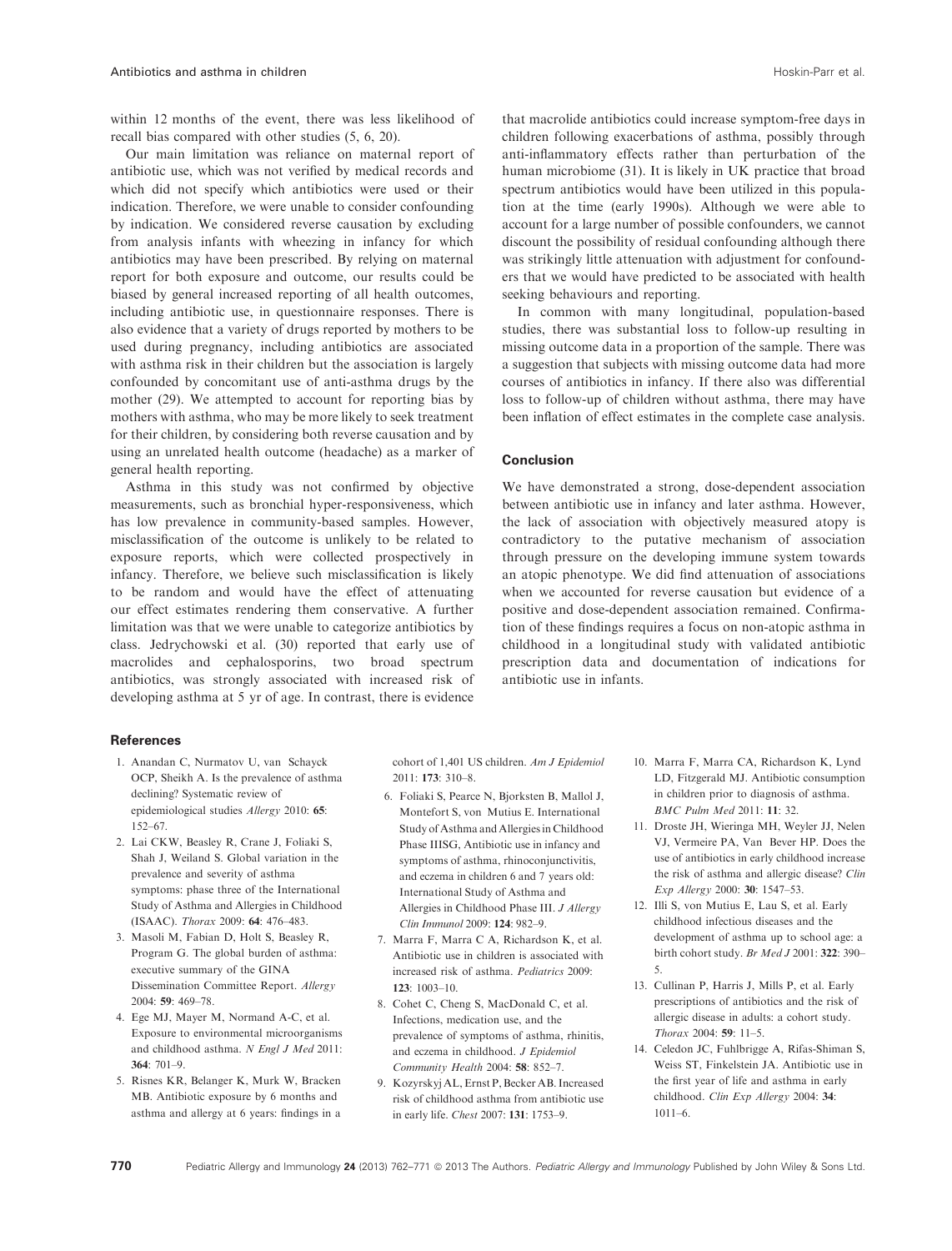within 12 months of the event, there was less likelihood of recall bias compared with other studies (5, 6, 20).

Our main limitation was reliance on maternal report of antibiotic use, which was not verified by medical records and which did not specify which antibiotics were used or their indication. Therefore, we were unable to consider confounding by indication. We considered reverse causation by excluding from analysis infants with wheezing in infancy for which antibiotics may have been prescribed. By relying on maternal report for both exposure and outcome, our results could be biased by general increased reporting of all health outcomes, including antibiotic use, in questionnaire responses. There is also evidence that a variety of drugs reported by mothers to be used during pregnancy, including antibiotics are associated with asthma risk in their children but the association is largely confounded by concomitant use of anti-asthma drugs by the mother (29). We attempted to account for reporting bias by mothers with asthma, who may be more likely to seek treatment for their children, by considering both reverse causation and by using an unrelated health outcome (headache) as a marker of general health reporting.

Asthma in this study was not confirmed by objective measurements, such as bronchial hyper-responsiveness, which has low prevalence in community-based samples. However, misclassification of the outcome is unlikely to be related to exposure reports, which were collected prospectively in infancy. Therefore, we believe such misclassification is likely to be random and would have the effect of attenuating our effect estimates rendering them conservative. A further limitation was that we were unable to categorize antibiotics by class. Jedrychowski et al. (30) reported that early use of macrolides and cephalosporins, two broad spectrum antibiotics, was strongly associated with increased risk of developing asthma at 5 yr of age. In contrast, there is evidence that macrolide antibiotics could increase symptom-free days in children following exacerbations of asthma, possibly through anti-inflammatory effects rather than perturbation of the human microbiome (31). It is likely in UK practice that broad spectrum antibiotics would have been utilized in this population at the time (early 1990s). Although we were able to account for a large number of possible confounders, we cannot discount the possibility of residual confounding although there was strikingly little attenuation with adjustment for confounders that we would have predicted to be associated with health seeking behaviours and reporting.

In common with many longitudinal, population-based studies, there was substantial loss to follow-up resulting in missing outcome data in a proportion of the sample. There was a suggestion that subjects with missing outcome data had more courses of antibiotics in infancy. If there also was differential loss to follow-up of children without asthma, there may have been inflation of effect estimates in the complete case analysis.

### Conclusion

We have demonstrated a strong, dose-dependent association between antibiotic use in infancy and later asthma. However, the lack of association with objectively measured atopy is contradictory to the putative mechanism of association through pressure on the developing immune system towards an atopic phenotype. We did find attenuation of associations when we accounted for reverse causation but evidence of a positive and dose-dependent association remained. Confirmation of these findings requires a focus on non-atopic asthma in childhood in a longitudinal study with validated antibiotic prescription data and documentation of indications for antibiotic use in infants.

#### References

- 1. Anandan C, Nurmatov U, van Schayck OCP, Sheikh A. Is the prevalence of asthma declining? Systematic review of epidemiological studies Allergy 2010: 65: 152–67.
- 2. Lai CKW, Beasley R, Crane J, Foliaki S, Shah J, Weiland S. Global variation in the prevalence and severity of asthma symptoms: phase three of the International Study of Asthma and Allergies in Childhood (ISAAC). Thorax 2009: 64: 476–483.
- 3. Masoli M, Fabian D, Holt S, Beasley R, Program G. The global burden of asthma: executive summary of the GINA Dissemination Committee Report. Allergy 2004: 59: 469–78.
- 4. Ege MJ, Mayer M, Normand A-C, et al. Exposure to environmental microorganisms and childhood asthma. N Engl J Med 2011:  $364 \cdot 701 - 9$
- 5. Risnes KR, Belanger K, Murk W, Bracken MB. Antibiotic exposure by 6 months and asthma and allergy at 6 years: findings in a

cohort of 1,401 US children. Am J Epidemiol 2011: 173: 310–8.

- 6. Foliaki S, Pearce N, Bjorksten B, Mallol J, Montefort S, von Mutius E. International Study of Asthma and Allergies in Childhood Phase IIISG, Antibiotic use in infancy and symptoms of asthma, rhinoconjunctivitis, and eczema in children 6 and 7 years old: International Study of Asthma and Allergies in Childhood Phase III. J Allergy Clin Immunol 2009: 124: 982–9.
- 7. Marra F, Marra C A, Richardson K, et al. Antibiotic use in children is associated with increased risk of asthma. Pediatrics 2009: 123: 1003–10.
- 8. Cohet C, Cheng S, MacDonald C, et al. Infections, medication use, and the prevalence of symptoms of asthma, rhinitis, and eczema in childhood. J Epidemiol Community Health 2004: 58: 852–7.
- 9. Kozyrskyj AL, Ernst P, Becker AB. Increased risk of childhood asthma from antibiotic use in early life. Chest 2007: 131: 1753–9.
- 10. Marra F, Marra CA, Richardson K, Lynd LD, Fitzgerald MJ. Antibiotic consumption in children prior to diagnosis of asthma. BMC Pulm Med 2011: 11: 32.
- 11. Droste JH, Wieringa MH, Weyler JJ, Nelen VJ, Vermeire PA, Van Bever HP. Does the use of antibiotics in early childhood increase the risk of asthma and allergic disease? Clin Exp Allergy 2000: 30: 1547–53.
- 12. Illi S, von Mutius E, Lau S, et al. Early childhood infectious diseases and the development of asthma up to school age: a birth cohort study. Br Med J 2001: 322: 390– 5.
- 13. Cullinan P, Harris J, Mills P, et al. Early prescriptions of antibiotics and the risk of allergic disease in adults: a cohort study. Thorax 2004: 59: 11–5.
- 14. Celedon JC, Fuhlbrigge A, Rifas-Shiman S, Weiss ST, Finkelstein JA. Antibiotic use in the first year of life and asthma in early childhood. Clin Exp Allergy 2004: 34: 1011–6.